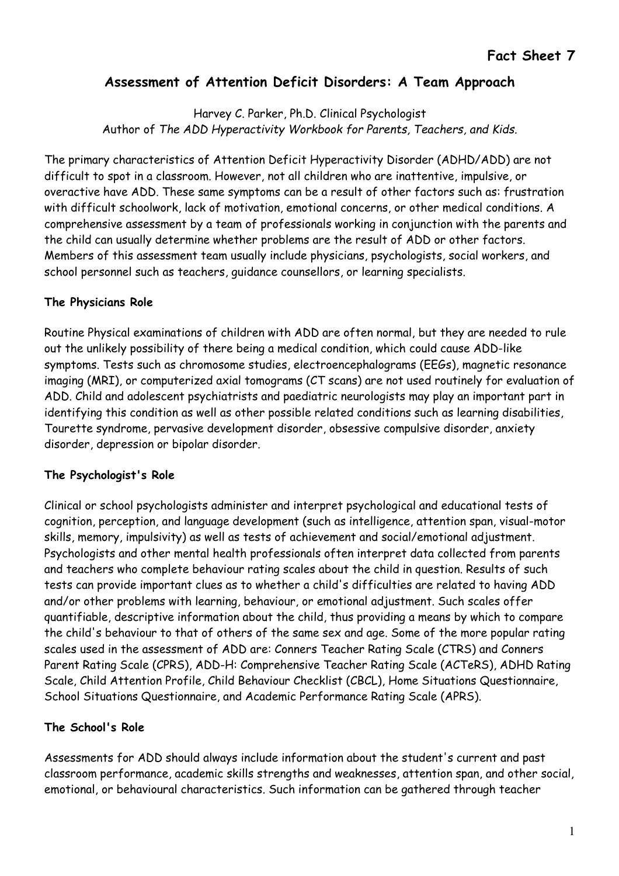# Assessment of Attention Deficit Disorders: A Team Approach

Harvey C. Parker, Ph.D. Clinical Psychologist Author of The ADD Hyperactivity Workbook for Parents, Teachers, and Kids.

The primary characteristics of Attention Deficit Hyperactivity Disorder (ADHD/ADD) are not difficult to spot in a classroom. However, not all children who are inattentive, impulsive, or overactive have ADD. These same symptoms can be a result of other factors such as: frustration with difficult schoolwork, lack of motivation, emotional concerns, or other medical conditions. A comprehensive assessment by a team of professionals working in conjunction with the parents and the child can usually determine whether problems are the result of ADD or other factors. Members of this assessment team usually include physicians, psychologists, social workers, and school personnel such as teachers, guidance counsellors, or learning specialists.

## The Physicians Role

Routine Physical examinations of children with ADD are often normal, but they are needed to rule out the unlikely possibility of there being a medical condition, which could cause ADD-like symptoms. Tests such as chromosome studies, electroencephalograms (EEGs), magnetic resonance imaging (MRI), or computerized axial tomograms (CT scans) are not used routinely for evaluation of ADD. Child and adolescent psychiatrists and paediatric neurologists may play an important part in identifying this condition as well as other possible related conditions such as learning disabilities, Tourette syndrome, pervasive development disorder, obsessive compulsive disorder, anxiety disorder, depression or bipolar disorder.

## The Psychologist's Role

Clinical or school psychologists administer and interpret psychological and educational tests of cognition, perception, and language development (such as intelligence, attention span, visual-motor skills, memory, impulsivity) as well as tests of achievement and social/emotional adjustment. Psychologists and other mental health professionals often interpret data collected from parents and teachers who complete behaviour rating scales about the child in question. Results of such tests can provide important clues as to whether a child's difficulties are related to having ADD and/or other problems with learning, behaviour, or emotional adjustment. Such scales offer quantifiable, descriptive information about the child, thus providing a means by which to compare the child's behaviour to that of others of the same sex and age. Some of the more popular rating scales used in the assessment of ADD are: Conners Teacher Rating Scale (CTRS) and Conners Parent Rating Scale (CPRS), ADD-H: Comprehensive Teacher Rating Scale (ACTeRS), ADHD Rating Scale, Child Attention Profile, Child Behaviour Checklist (CBCL), Home Situations Questionnaire, School Situations Questionnaire, and Academic Performance Rating Scale (APRS).

## The School's Role

Assessments for ADD should always include information about the student's current and past classroom performance, academic skills strengths and weaknesses, attention span, and other social, emotional, or behavioural characteristics. Such information can be gathered through teacher